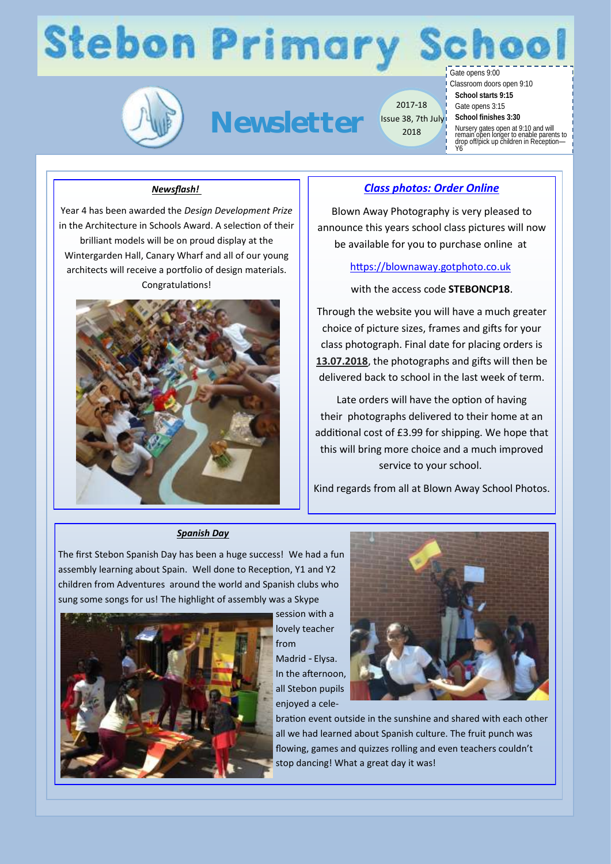# **Stebon Primary**



**Newsletter**

2017-18 Issue 38, 7th July 2018

Gate opens 9:00 Classroom doors open 9:10 **School starts 9:15** Gate opens 3:15 **School finishes 3:30**

Nursery gates open at 9:10 and will remain open longer to enable parents to drop off/pick up children in Reception— Y6

### *Newsflash!*

Year 4 has been awarded the *Design Development Prize* in the Architecture in Schools Award. A selection of their brilliant models will be on proud display at the Wintergarden Hall, Canary Wharf and all of our young architects will receive a portfolio of design materials. Congratulations!



### *Class photos: Order Online*

Blown Away Photography is very pleased to announce this years school class pictures will now be available for you to purchase online at

[https://blownaway.gotphoto.co.uk](https://blownaway.gotphoto.co.uk/)

with the access code **STEBONCP18**.

Through the website you will have a much greater choice of picture sizes, frames and gifts for your class photograph. Final date for placing orders is **13.07.2018**, the photographs and gifts will then be delivered back to school in the last week of term.

Late orders will have the option of having their photographs delivered to their home at an additional cost of £3.99 for shipping. We hope that this will bring more choice and a much improved service to your school.

Kind regards from all at Blown Away School Photos.

### *Spanish Day*

The first Stebon Spanish Day has been a huge success! We had a fun assembly learning about Spain. Well done to Reception, Y1 and Y2 children from Adventures around the world and Spanish clubs who sung some songs for us! The highlight of assembly was a Skype



session with a lovely teacher from Madrid - Elysa. In the afternoon, all Stebon pupils enjoyed a cele-



bration event outside in the sunshine and shared with each other all we had learned about Spanish culture. The fruit punch was flowing, games and quizzes rolling and even teachers couldn't stop dancing! What a great day it was!